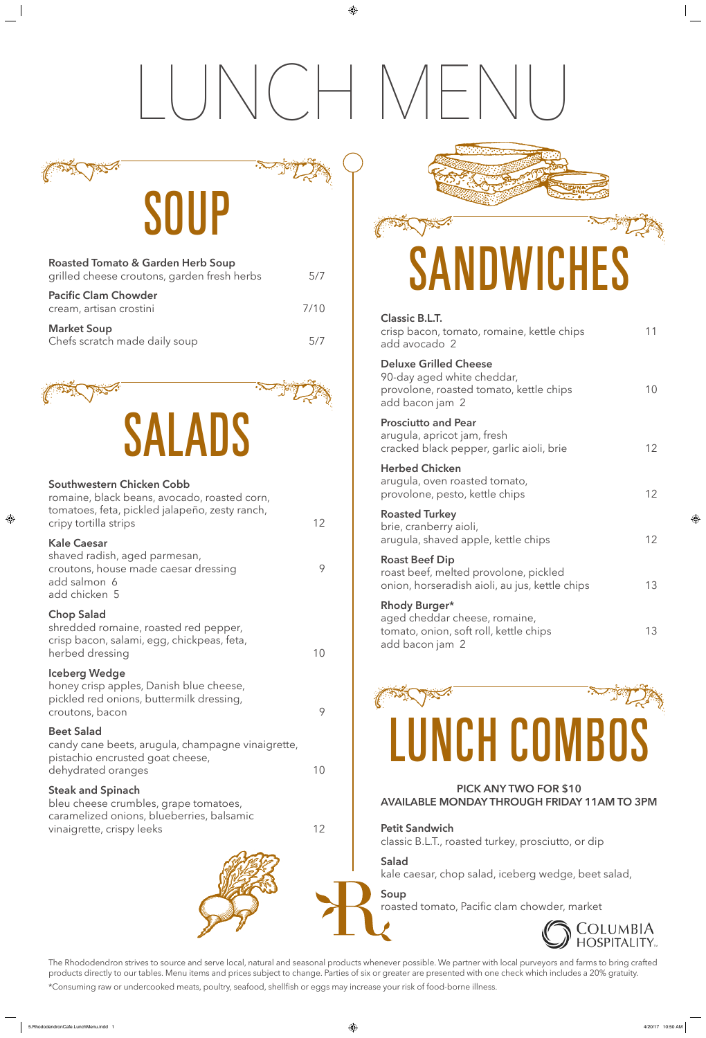# LUNCH MENU

⊕

### SOUP

| <b>Roasted Tomato &amp; Garden Herb Soup</b><br>grilled cheese croutons, garden fresh herbs | 5/7  |
|---------------------------------------------------------------------------------------------|------|
| <b>Pacific Clam Chowder</b><br>cream, artisan crostini                                      | 7/10 |
| <b>Market Soup</b><br>Chefs scratch made daily soup                                         |      |

The Rhododendron strives to source and serve local, natural and seasonal products whenever possible. We partner with local purveyors and farms to bring crafted products directly to our tables. Menu items and prices subject to change. Parties of six or greater are presented with one check which includes a 20% gratuity.

\*Consuming raw or undercooked meats, poultry, seafood, shellfish or eggs may increase your risk of food-borne illness.

romaine, black beans, avocado, roasted corn, tomatoes, feta, pickled jalapeño, zesty ranch, cripy tortilla strips 12

shredded romaine, roasted red pepper, crisp bacon, salami, egg, chickpeas, feta, herbed dressing 10

| <b>Classic B.L.T.</b><br>crisp bacon, tomato, romaine, kettle chips<br>add avocado 2                                     | 11              |
|--------------------------------------------------------------------------------------------------------------------------|-----------------|
| <b>Deluxe Grilled Cheese</b><br>90-day aged white cheddar,<br>provolone, roasted tomato, kettle chips<br>add bacon jam 2 | 10              |
| <b>Prosciutto and Pear</b><br>arugula, apricot jam, fresh<br>cracked black pepper, garlic aioli, brie                    | 12 <sup>°</sup> |
| <b>Herbed Chicken</b><br>arugula, oven roasted tomato,<br>provolone, pesto, kettle chips                                 | 12 <sup>°</sup> |
| <b>Roasted Turkey</b><br>brie, cranberry aioli,<br>arugula, shaved apple, kettle chips                                   | 12 <sup>2</sup> |
| <b>Roast Beef Dip</b><br>roast beef, melted provolone, pickled<br>onion, horseradish aioli, au jus, kettle chips         | 13              |
| Rhody Burger*<br>aged cheddar cheese, romaine,<br>tomato, onion, soft roll, kettle chips<br>add bacon jam 2              | 13              |



candy cane beets, arugula, champagne vinaigrette, pistachio encrusted goat cheese, dehydrated oranges and the state of the 10 minutes of the 10 minutes of the 10 minutes of the 10 minutes of the 10  $\pm$ 

bleu cheese crumbles, grape tomatoes, caramelized onions, blueberries, balsamic vinaigrette, crispy leeks 12





### **PICK ANY TWO FOR \$10 AVAILABLE MONDAY THROUGH FRIDAY 11AM TO 3PM**

**Petit Sandwich**  classic B.L.T., roasted turkey, prosciutto, or dip

### **Salad**

kale caesar, chop salad, iceberg wedge, beet salad,

**Soup**

roasted tomato, Pacific clam chowder, market





### **Southwestern Chicken Cobb**

### **Kale Caesar**

⊕

shaved radish, aged parmesan, croutons, house made caesar dressing 9 add salmon 6 add chicken 5

### **Chop Salad**

### **Iceberg Wedge**

honey crisp apples, Danish blue cheese,

## **SANDWICHES**

pickled red onions, buttermilk dressing, croutons, bacon 9

### **Beet Salad**

### **Steak and Spinach**

⊕